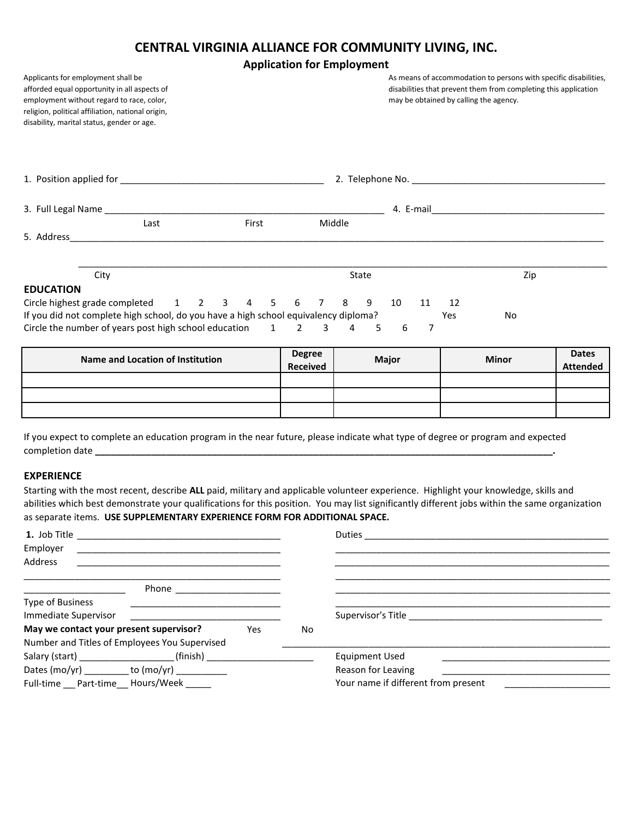## **CENTRAL VIRGINIA ALLIANCE FOR COMMUNITY LIVING, INC.**

## **Application for Employment**

| Applicants for employment shall be<br>afforded equal opportunity in all aspects of<br>employment without regard to race, color,<br>religion, political affiliation, national origin,<br>disability, marital status, gender or age. |                                                                                       | As means of accommodation to persons with specific disabilities,<br>disabilities that prevent them from completing this application<br>may be obtained by calling the agency. |  |
|------------------------------------------------------------------------------------------------------------------------------------------------------------------------------------------------------------------------------------|---------------------------------------------------------------------------------------|-------------------------------------------------------------------------------------------------------------------------------------------------------------------------------|--|
|                                                                                                                                                                                                                                    |                                                                                       |                                                                                                                                                                               |  |
|                                                                                                                                                                                                                                    |                                                                                       |                                                                                                                                                                               |  |
| Last                                                                                                                                                                                                                               | Middle<br>First                                                                       |                                                                                                                                                                               |  |
|                                                                                                                                                                                                                                    |                                                                                       |                                                                                                                                                                               |  |
|                                                                                                                                                                                                                                    |                                                                                       |                                                                                                                                                                               |  |
| City                                                                                                                                                                                                                               | State                                                                                 | Zip                                                                                                                                                                           |  |
| <b>EDUCATION</b>                                                                                                                                                                                                                   |                                                                                       |                                                                                                                                                                               |  |
| Circle highest grade completed 1 2 3                                                                                                                                                                                               | 8<br>9<br>6<br>7<br>4<br>5.                                                           | 10<br>11<br>12                                                                                                                                                                |  |
| If you did not complete high school, do you have a high school equivalency diploma?                                                                                                                                                |                                                                                       | Yes<br>No                                                                                                                                                                     |  |
| Circle the number of years post high school education                                                                                                                                                                              | $\overline{\phantom{a}}$<br>$\mathbf{1}$<br>$\overline{4}$<br>$\overline{\mathbf{3}}$ | 7<br>6<br>5                                                                                                                                                                   |  |

| <b>Name and Location of Institution</b> | <b>Degree</b>   |              | <b>Minor</b> | <b>Dates</b>    |
|-----------------------------------------|-----------------|--------------|--------------|-----------------|
|                                         | <b>Received</b> | <b>Major</b> |              | <b>Attended</b> |
|                                         |                 |              |              |                 |
|                                         |                 |              |              |                 |
|                                         |                 |              |              |                 |

If you expect to complete an education program in the near future, please indicate what type of degree or program and expected completion date **\_\_\_\_\_\_\_\_\_\_\_\_\_\_\_\_\_\_\_\_\_\_\_\_\_\_\_\_\_\_\_\_\_\_\_\_\_\_\_\_\_\_\_\_\_\_\_\_\_\_\_\_\_\_\_\_\_\_\_\_\_\_\_\_\_\_\_\_\_\_\_\_\_\_\_\_\_\_\_\_\_\_\_\_\_\_\_\_\_\_.** 

#### **EXPERIENCE**

Starting with the most recent, describe **ALL** paid, military and applicable volunteer experience. Highlight your knowledge, skills and abilities which best demonstrate your qualifications for this position. You may list significantly different jobs within the same organization as separate items. **USE SUPPLEMENTARY EXPERIENCE FORM FOR ADDITIONAL SPACE.**

| Employer<br>Address                            |    |                                     |
|------------------------------------------------|----|-------------------------------------|
| Phone ________________________                 |    |                                     |
| Type of Business                               |    |                                     |
| Immediate Supervisor                           |    |                                     |
| May we contact your present supervisor?<br>Yes | No |                                     |
| Number and Titles of Employees You Supervised  |    |                                     |
|                                                |    | Equipment Used                      |
|                                                |    | Reason for Leaving                  |
| Full-time __ Part-time __ Hours/Week _____     |    | Your name if different from present |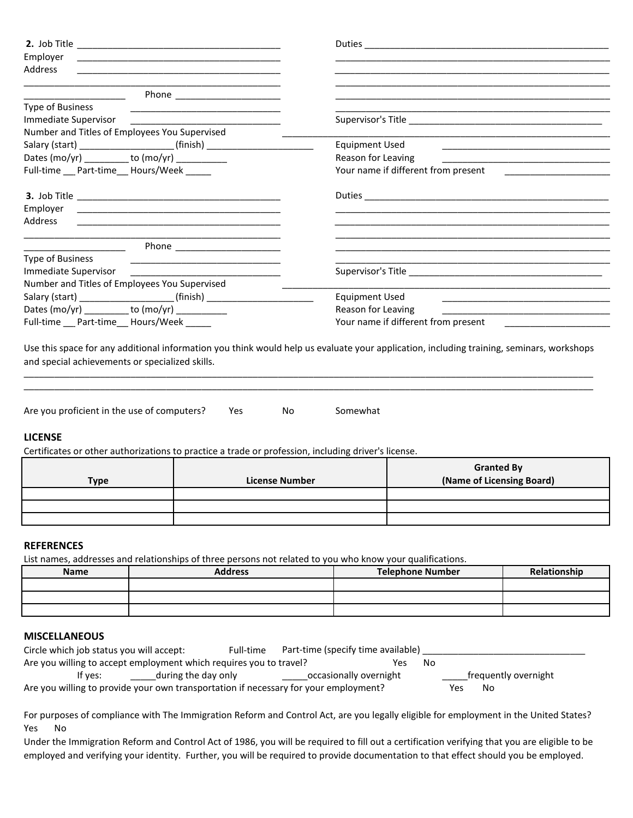| Employer                                                                                                                                         |                                                                                                                                                                                                                               |
|--------------------------------------------------------------------------------------------------------------------------------------------------|-------------------------------------------------------------------------------------------------------------------------------------------------------------------------------------------------------------------------------|
| <b>Address</b>                                                                                                                                   |                                                                                                                                                                                                                               |
|                                                                                                                                                  |                                                                                                                                                                                                                               |
|                                                                                                                                                  |                                                                                                                                                                                                                               |
| <b>Type of Business</b><br><u> 1989 - Johann Harry Harry Harry Harry Harry Harry Harry Harry Harry Harry Harry Harry Harry Harry Harry Harry</u> |                                                                                                                                                                                                                               |
| Immediate Supervisor                                                                                                                             |                                                                                                                                                                                                                               |
| Number and Titles of Employees You Supervised                                                                                                    |                                                                                                                                                                                                                               |
| Salary (start) __________________________(finish) ______________________________<br>Dates (mo/yr) ________ to (mo/yr) _________                  | <b>Equipment Used</b><br>the control of the control of the control of the control of the control of the control of<br>Reason for Leaving                                                                                      |
|                                                                                                                                                  | the control of the control of the control of the control of the control of the control of                                                                                                                                     |
| Full-time __ Part-time__ Hours/Week _____                                                                                                        | Your name if different from present [100] [100] [100] [100] [100] [100] [100] [100] [100] [100] [100] [100] [100] [100] [100] [100] [100] [100] [100] [100] [100] [100] [100] [100] [100] [100] [100] [100] [100] [100] [100] |
|                                                                                                                                                  |                                                                                                                                                                                                                               |
| Employer                                                                                                                                         |                                                                                                                                                                                                                               |
| Address                                                                                                                                          |                                                                                                                                                                                                                               |
|                                                                                                                                                  |                                                                                                                                                                                                                               |
| Phone ______________________                                                                                                                     |                                                                                                                                                                                                                               |
| <b>Type of Business</b>                                                                                                                          |                                                                                                                                                                                                                               |
| Immediate Supervisor                                                                                                                             |                                                                                                                                                                                                                               |
| Number and Titles of Employees You Supervised                                                                                                    |                                                                                                                                                                                                                               |
| Salary (start) _____________________(finish) ___________________________________                                                                 | <b>Equipment Used</b>                                                                                                                                                                                                         |
| Dates $(mo/yr)$ to $(mo/yr)$ to $(mo/yr)$                                                                                                        | Reason for Leaving                                                                                                                                                                                                            |
| Full-time __ Part-time__ Hours/Week _____                                                                                                        | Your name if different from present                                                                                                                                                                                           |
|                                                                                                                                                  |                                                                                                                                                                                                                               |
|                                                                                                                                                  | Use this space for any additional information you think would help us evaluate your application, including training, seminars, workshops                                                                                      |
| and special achievements or specialized skills.                                                                                                  |                                                                                                                                                                                                                               |
|                                                                                                                                                  |                                                                                                                                                                                                                               |

| Are you proficient in the use of computers? | Yes | Nο | Somewhat |
|---------------------------------------------|-----|----|----------|
|---------------------------------------------|-----|----|----------|

### **LICENSE**

Certificates or other authorizations to practice a trade or profession, including driver's license.

| <b>Type</b> | <b>License Number</b> | <b>Granted By</b><br>(Name of Licensing Board) |
|-------------|-----------------------|------------------------------------------------|
|             |                       |                                                |
|             |                       |                                                |
|             |                       |                                                |

\_\_\_\_\_\_\_\_\_\_\_\_\_\_\_\_\_\_\_\_\_\_\_\_\_\_\_\_\_\_\_\_\_\_\_\_\_\_\_\_\_\_\_\_\_\_\_\_\_\_\_\_\_\_\_\_\_\_\_\_\_\_\_\_\_\_\_\_\_\_\_\_\_\_\_\_\_\_\_\_\_\_\_\_\_\_\_\_\_\_\_\_\_\_\_\_\_\_\_\_\_\_\_\_\_\_\_\_\_\_\_\_

### **REFERENCES**

List names, addresses and relationships of three persons not related to you who know your qualifications.

| <b>Name</b> | <b>Address</b> | <b>Telephone Number</b> | Relationshin |
|-------------|----------------|-------------------------|--------------|
|             |                |                         |              |
|             |                |                         |              |
|             |                |                         |              |

### **MISCELLANEOUS**

| Circle which job status you will accept:                                             | Full-time           | Part-time (specify time available) |    |     |                      |  |
|--------------------------------------------------------------------------------------|---------------------|------------------------------------|----|-----|----------------------|--|
| Are you willing to accept employment which requires you to travel?                   |                     | Yes                                | No |     |                      |  |
| lf ves:                                                                              | during the day only | occasionally overnight             |    |     | frequently overnight |  |
| Are you willing to provide your own transportation if necessary for your employment? |                     |                                    |    | Yes | No                   |  |

For purposes of compliance with The Immigration Reform and Control Act, are you legally eligible for employment in the United States? Yes No

Under the Immigration Reform and Control Act of 1986, you will be required to fill out a certification verifying that you are eligible to be employed and verifying your identity. Further, you will be required to provide documentation to that effect should you be employed.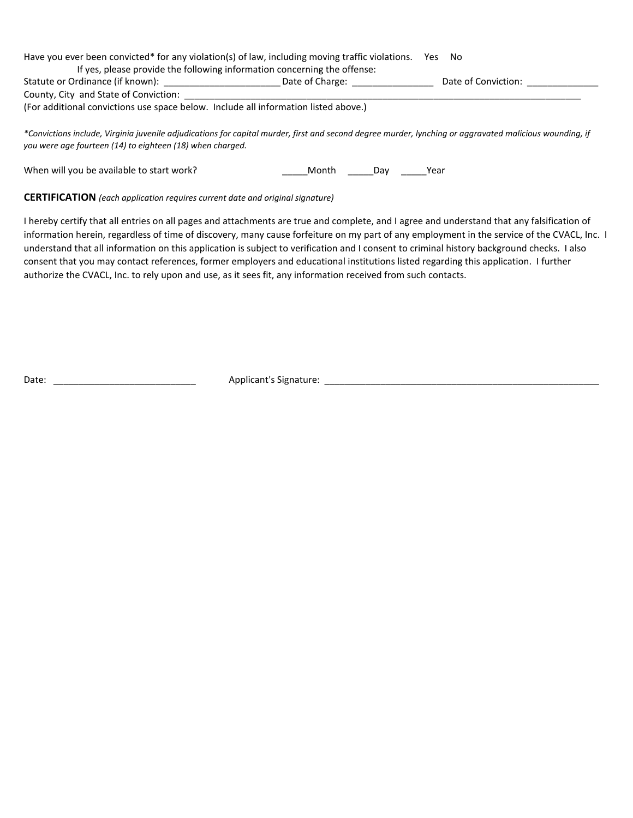| Have you ever been convicted* for any violation(s) of law, including moving traffic violations. |                                                                          | Yes<br>. No         |  |
|-------------------------------------------------------------------------------------------------|--------------------------------------------------------------------------|---------------------|--|
|                                                                                                 | If yes, please provide the following information concerning the offense: |                     |  |
| Statute or Ordinance (if known):                                                                | Date of Charge:                                                          | Date of Conviction: |  |
| County, City and State of Conviction:                                                           |                                                                          |                     |  |
| (For additional convictions use space below. Include all information listed above.)             |                                                                          |                     |  |

*\*Convictions include, Virginia juvenile adjudications for capital murder, first and second degree murder, lynching or aggravated malicious wounding, if you were age fourteen (14) to eighteen (18) when charged.*

When will you be available to start work? \_\_\_\_\_Month \_\_\_\_\_Day \_\_\_\_\_Year

**CERTIFICATION** *(each application requires current date and original signature)*

I hereby certify that all entries on all pages and attachments are true and complete, and I agree and understand that any falsification of information herein, regardless of time of discovery, many cause forfeiture on my part of any employment in the service of the CVACL, Inc. I understand that all information on this application is subject to verification and I consent to criminal history background checks. I also consent that you may contact references, former employers and educational institutions listed regarding this application. I further authorize the CVACL, Inc. to rely upon and use, as it sees fit, any information received from such contacts.

Date: \_\_\_\_\_\_\_\_\_\_\_\_\_\_\_\_\_\_\_\_\_\_\_\_\_\_\_\_ Applicant's Signature: \_\_\_\_\_\_\_\_\_\_\_\_\_\_\_\_\_\_\_\_\_\_\_\_\_\_\_\_\_\_\_\_\_\_\_\_\_\_\_\_\_\_\_\_\_\_\_\_\_\_\_\_\_\_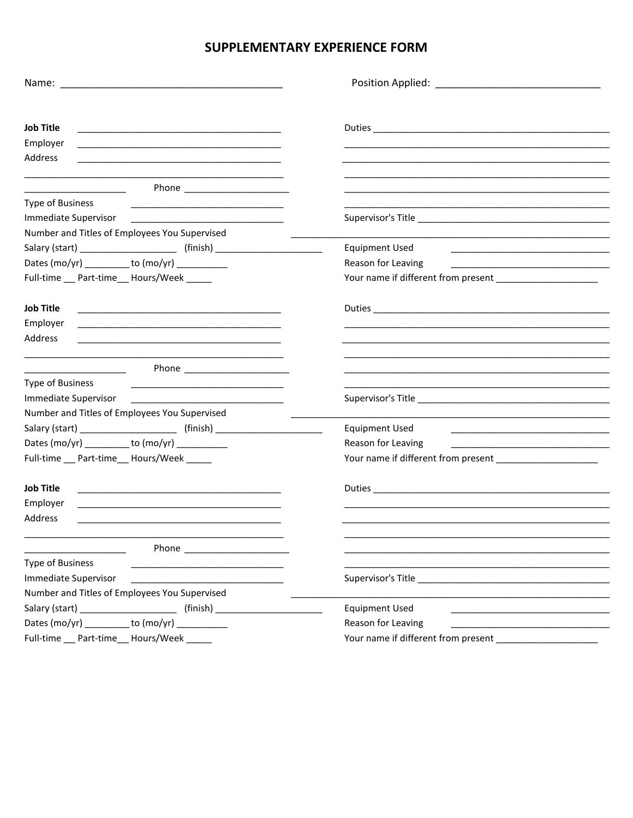# SUPPLEMENTARY EXPERIENCE FORM

| <b>Job Title</b><br><u> 2000 - 2000 - 2000 - 2000 - 2000 - 2000 - 2000 - 2000 - 2000 - 2000 - 2000 - 2000 - 2000 - 2000 - 2000 - 200</u> |                                                                                                                                               |
|------------------------------------------------------------------------------------------------------------------------------------------|-----------------------------------------------------------------------------------------------------------------------------------------------|
| Employer                                                                                                                                 |                                                                                                                                               |
| Address                                                                                                                                  |                                                                                                                                               |
| <u> 1989 - Johann Barbara, martin di</u>                                                                                                 |                                                                                                                                               |
| <b>Type of Business</b><br>the control of the control of the control of the control of the control of the control of                     |                                                                                                                                               |
| Immediate Supervisor <b>Example 2018</b>                                                                                                 |                                                                                                                                               |
| Number and Titles of Employees You Supervised                                                                                            |                                                                                                                                               |
| Salary (start) ___________________________ (finish) ____________________________                                                         | <b>Equipment Used</b>                                                                                                                         |
| Dates (mo/yr) _________ to (mo/yr) _________                                                                                             | Reason for Leaving                                                                                                                            |
| Full-time __ Part-time__ Hours/Week _____                                                                                                |                                                                                                                                               |
| <b>Job Title</b>                                                                                                                         |                                                                                                                                               |
| Employer<br><u> 1989 - Johann Barbara, marka a shekara tsa 1989 - An tsa 1989 - An tsa 1989 - An tsa 1989 - An tsa 1989 - An</u>         |                                                                                                                                               |
| Address                                                                                                                                  |                                                                                                                                               |
|                                                                                                                                          |                                                                                                                                               |
| Type of Business                                                                                                                         |                                                                                                                                               |
|                                                                                                                                          |                                                                                                                                               |
| Number and Titles of Employees You Supervised                                                                                            |                                                                                                                                               |
| Salary (start) ___________________________ (finish) ____________________________                                                         | <b>Equipment Used</b><br><u> 1989 - Johann Stein, marwolaethau a bhann an t-Amhair an t-Amhair an t-Amhair an t-Amhair an t-Amhair an t-A</u> |
| Dates (mo/yr) _________ to (mo/yr) _________                                                                                             | Reason for Leaving                                                                                                                            |
| Full-time __ Part-time__ Hours/Week _____                                                                                                |                                                                                                                                               |
| <b>Job Title</b>                                                                                                                         |                                                                                                                                               |
| Employer                                                                                                                                 |                                                                                                                                               |
| Address                                                                                                                                  |                                                                                                                                               |
|                                                                                                                                          |                                                                                                                                               |
|                                                                                                                                          |                                                                                                                                               |
| <b>Type of Business</b>                                                                                                                  |                                                                                                                                               |
| Immediate Supervisor                                                                                                                     |                                                                                                                                               |
| Number and Titles of Employees You Supervised                                                                                            |                                                                                                                                               |
| Salary (start) __________________________ (finish) _____________________________                                                         | <b>Equipment Used</b>                                                                                                                         |
|                                                                                                                                          | Reason for Leaving                                                                                                                            |
| Full-time __ Part-time __ Hours/Week _____                                                                                               |                                                                                                                                               |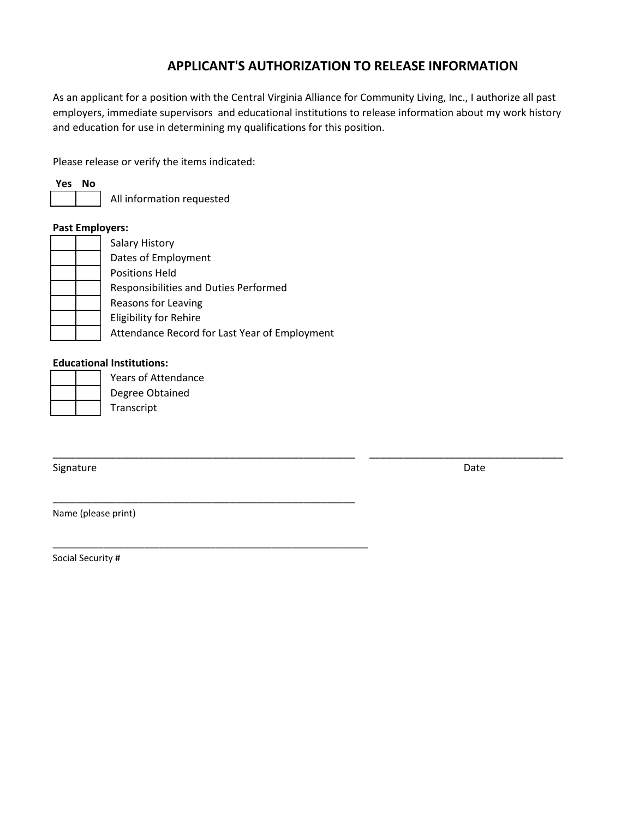# **APPLICANT'S AUTHORIZATION TO RELEASE INFORMATION**

As an applicant for a position with the Central Virginia Alliance for Community Living, Inc., I authorize all past employers, immediate supervisors and educational institutions to release information about my work history and education for use in determining my qualifications for this position.

\_\_\_\_\_\_\_\_\_\_\_\_\_\_\_\_\_\_\_\_\_\_\_\_\_\_\_\_\_\_\_\_\_\_\_\_\_\_\_\_\_\_\_\_\_\_\_\_\_\_\_\_\_ \_\_\_\_\_\_\_\_\_\_\_\_\_\_\_\_\_\_\_\_\_\_\_\_\_\_\_\_\_\_\_\_\_\_

Please release or verify the items indicated:

**Yes No**

All information requested

### **Past Employers:**

| <b>Salary History</b>                         |
|-----------------------------------------------|
| Dates of Employment                           |
| <b>Positions Held</b>                         |
| Responsibilities and Duties Performed         |
| Reasons for Leaving                           |
| <b>Eligibility for Rehire</b>                 |
| Attendance Record for Last Year of Employment |

\_\_\_\_\_\_\_\_\_\_\_\_\_\_\_\_\_\_\_\_\_\_\_\_\_\_\_\_\_\_\_\_\_\_\_\_\_\_\_\_\_\_\_\_\_\_\_\_\_\_\_\_\_

\_\_\_\_\_\_\_\_\_\_\_\_\_\_\_\_\_\_\_\_\_\_\_\_\_\_\_\_\_\_\_\_\_\_\_\_\_\_\_\_\_\_\_\_\_\_\_\_\_\_\_\_\_\_\_\_\_\_\_\_\_\_

### **Educational Institutions:**

Years of Attendance

Degree Obtained

Transcript

Signature

Date

Name (please print)

Social Security #